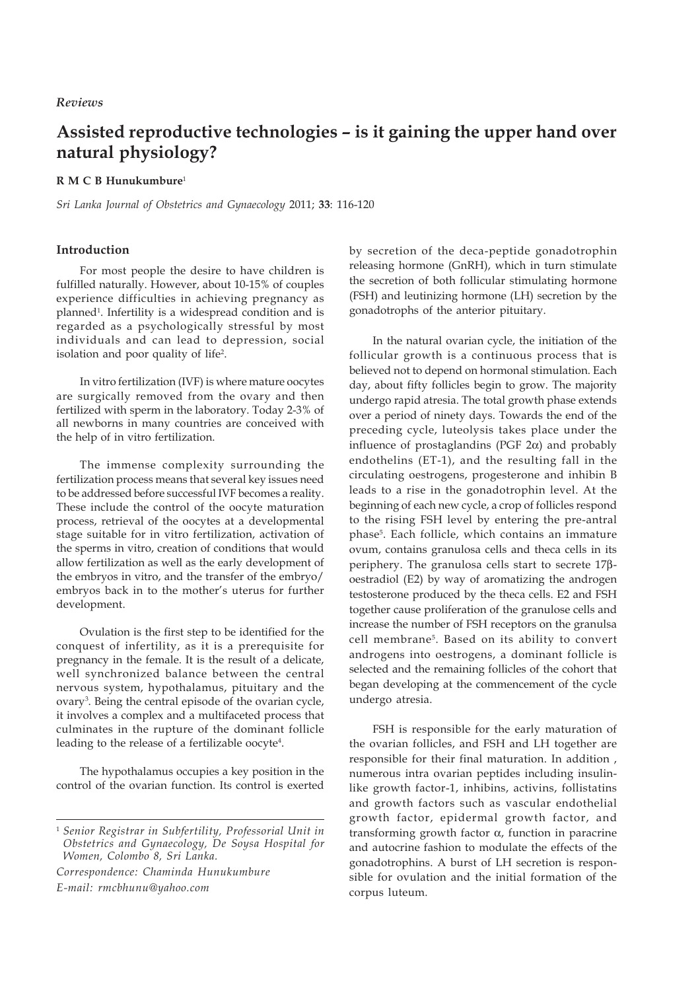# *Reviews*

# **Assisted reproductive technologies – is it gaining the upper hand over natural physiology?**

# **R M C B Hunukumbure**<sup>1</sup>

*Sri Lanka Journal of Obstetrics and Gynaecology* 2011; **33**: 116-120

# **Introduction**

For most people the desire to have children is fulfilled naturally. However, about 10-15% of couples experience difficulties in achieving pregnancy as planned1 . Infertility is a widespread condition and is regarded as a psychologically stressful by most individuals and can lead to depression, social isolation and poor quality of life<sup>2</sup>.

In vitro fertilization (IVF) is where mature oocytes are surgically removed from the ovary and then fertilized with sperm in the laboratory. Today 2-3% of all newborns in many countries are conceived with the help of in vitro fertilization.

The immense complexity surrounding the fertilization process means that several key issues need to be addressed before successful IVF becomes a reality. These include the control of the oocyte maturation process, retrieval of the oocytes at a developmental stage suitable for in vitro fertilization, activation of the sperms in vitro, creation of conditions that would allow fertilization as well as the early development of the embryos in vitro, and the transfer of the embryo/ embryos back in to the mother's uterus for further development.

Ovulation is the first step to be identified for the conquest of infertility, as it is a prerequisite for pregnancy in the female. It is the result of a delicate, well synchronized balance between the central nervous system, hypothalamus, pituitary and the ovary3 . Being the central episode of the ovarian cycle, it involves a complex and a multifaceted process that culminates in the rupture of the dominant follicle leading to the release of a fertilizable oocyte<sup>4</sup>.

The hypothalamus occupies a key position in the control of the ovarian function. Its control is exerted

*Correspondence: Chaminda Hunukumbure E-mail: rmcbhunu@yahoo.com*

by secretion of the deca-peptide gonadotrophin releasing hormone (GnRH), which in turn stimulate the secretion of both follicular stimulating hormone (FSH) and leutinizing hormone (LH) secretion by the gonadotrophs of the anterior pituitary.

In the natural ovarian cycle, the initiation of the follicular growth is a continuous process that is believed not to depend on hormonal stimulation. Each day, about fifty follicles begin to grow. The majority undergo rapid atresia. The total growth phase extends over a period of ninety days. Towards the end of the preceding cycle, luteolysis takes place under the influence of prostaglandins (PGF 2α) and probably endothelins (ET-1), and the resulting fall in the circulating oestrogens, progesterone and inhibin B leads to a rise in the gonadotrophin level. At the beginning of each new cycle, a crop of follicles respond to the rising FSH level by entering the pre-antral phase<sup>5</sup>. Each follicle, which contains an immature ovum, contains granulosa cells and theca cells in its periphery. The granulosa cells start to secrete 17βoestradiol (E2) by way of aromatizing the androgen testosterone produced by the theca cells. E2 and FSH together cause proliferation of the granulose cells and increase the number of FSH receptors on the granulsa cell membrane5. Based on its ability to convert androgens into oestrogens, a dominant follicle is selected and the remaining follicles of the cohort that began developing at the commencement of the cycle undergo atresia.

FSH is responsible for the early maturation of the ovarian follicles, and FSH and LH together are responsible for their final maturation. In addition , numerous intra ovarian peptides including insulinlike growth factor-1, inhibins, activins, follistatins and growth factors such as vascular endothelial growth factor, epidermal growth factor, and transforming growth factor α, function in paracrine and autocrine fashion to modulate the effects of the gonadotrophins. A burst of LH secretion is responsible for ovulation and the initial formation of the corpus luteum.

<sup>1</sup> *Senior Registrar in Subfertility, Professorial Unit in Obstetrics and Gynaecology, De Soysa Hospital for Women, Colombo 8, Sri Lanka.*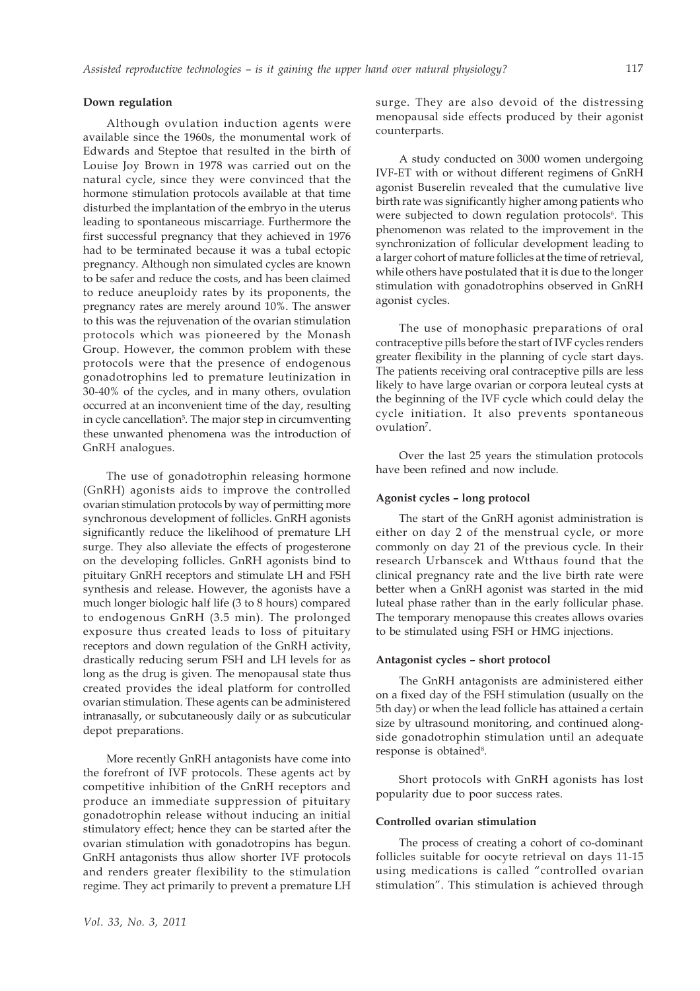## **Down regulation**

Although ovulation induction agents were available since the 1960s, the monumental work of Edwards and Steptoe that resulted in the birth of Louise Joy Brown in 1978 was carried out on the natural cycle, since they were convinced that the hormone stimulation protocols available at that time disturbed the implantation of the embryo in the uterus leading to spontaneous miscarriage. Furthermore the first successful pregnancy that they achieved in 1976 had to be terminated because it was a tubal ectopic pregnancy. Although non simulated cycles are known to be safer and reduce the costs, and has been claimed to reduce aneuploidy rates by its proponents, the pregnancy rates are merely around 10%. The answer to this was the rejuvenation of the ovarian stimulation protocols which was pioneered by the Monash Group. However, the common problem with these protocols were that the presence of endogenous gonadotrophins led to premature leutinization in 30-40% of the cycles, and in many others, ovulation occurred at an inconvenient time of the day, resulting in cycle cancellation<sup>5</sup>. The major step in circumventing these unwanted phenomena was the introduction of GnRH analogues.

The use of gonadotrophin releasing hormone (GnRH) agonists aids to improve the controlled ovarian stimulation protocols by way of permitting more synchronous development of follicles. GnRH agonists significantly reduce the likelihood of premature LH surge. They also alleviate the effects of progesterone on the developing follicles. GnRH agonists bind to pituitary GnRH receptors and stimulate LH and FSH synthesis and release. However, the agonists have a much longer biologic half life (3 to 8 hours) compared to endogenous GnRH (3.5 min). The prolonged exposure thus created leads to loss of pituitary receptors and down regulation of the GnRH activity, drastically reducing serum FSH and LH levels for as long as the drug is given. The menopausal state thus created provides the ideal platform for controlled ovarian stimulation. These agents can be administered intranasally, or subcutaneously daily or as subcuticular depot preparations.

More recently GnRH antagonists have come into the forefront of IVF protocols. These agents act by competitive inhibition of the GnRH receptors and produce an immediate suppression of pituitary gonadotrophin release without inducing an initial stimulatory effect; hence they can be started after the ovarian stimulation with gonadotropins has begun. GnRH antagonists thus allow shorter IVF protocols and renders greater flexibility to the stimulation regime. They act primarily to prevent a premature LH

surge. They are also devoid of the distressing menopausal side effects produced by their agonist counterparts.

A study conducted on 3000 women undergoing IVF-ET with or without different regimens of GnRH agonist Buserelin revealed that the cumulative live birth rate was significantly higher among patients who were subjected to down regulation protocols<sup>6</sup>. This phenomenon was related to the improvement in the synchronization of follicular development leading to a larger cohort of mature follicles at the time of retrieval, while others have postulated that it is due to the longer stimulation with gonadotrophins observed in GnRH agonist cycles.

The use of monophasic preparations of oral contraceptive pills before the start of IVF cycles renders greater flexibility in the planning of cycle start days. The patients receiving oral contraceptive pills are less likely to have large ovarian or corpora leuteal cysts at the beginning of the IVF cycle which could delay the cycle initiation. It also prevents spontaneous ovulation<sup>7</sup>.

Over the last 25 years the stimulation protocols have been refined and now include.

## **Agonist cycles – long protocol**

The start of the GnRH agonist administration is either on day 2 of the menstrual cycle, or more commonly on day 21 of the previous cycle. In their research Urbanscek and Wtthaus found that the clinical pregnancy rate and the live birth rate were better when a GnRH agonist was started in the mid luteal phase rather than in the early follicular phase. The temporary menopause this creates allows ovaries to be stimulated using FSH or HMG injections.

#### **Antagonist cycles – short protocol**

The GnRH antagonists are administered either on a fixed day of the FSH stimulation (usually on the 5th day) or when the lead follicle has attained a certain size by ultrasound monitoring, and continued alongside gonadotrophin stimulation until an adequate response is obtained<sup>8</sup>.

Short protocols with GnRH agonists has lost popularity due to poor success rates.

#### **Controlled ovarian stimulation**

The process of creating a cohort of co-dominant follicles suitable for oocyte retrieval on days 11-15 using medications is called "controlled ovarian stimulation". This stimulation is achieved through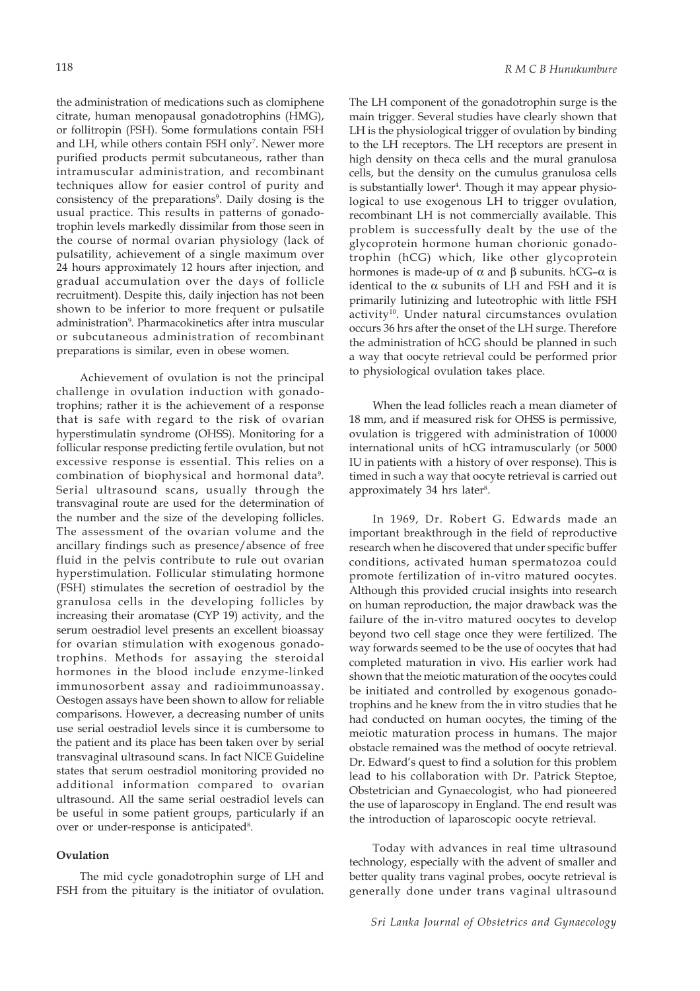the administration of medications such as clomiphene citrate, human menopausal gonadotrophins (HMG), or follitropin (FSH). Some formulations contain FSH and LH, while others contain FSH only<sup>7</sup>. Newer more purified products permit subcutaneous, rather than intramuscular administration, and recombinant techniques allow for easier control of purity and consistency of the preparations<sup>9</sup>. Daily dosing is the usual practice. This results in patterns of gonadotrophin levels markedly dissimilar from those seen in the course of normal ovarian physiology (lack of pulsatility, achievement of a single maximum over 24 hours approximately 12 hours after injection, and gradual accumulation over the days of follicle recruitment). Despite this, daily injection has not been shown to be inferior to more frequent or pulsatile administration<sup>9</sup>. Pharmacokinetics after intra muscular or subcutaneous administration of recombinant preparations is similar, even in obese women.

Achievement of ovulation is not the principal challenge in ovulation induction with gonadotrophins; rather it is the achievement of a response that is safe with regard to the risk of ovarian hyperstimulatin syndrome (OHSS). Monitoring for a follicular response predicting fertile ovulation, but not excessive response is essential. This relies on a combination of biophysical and hormonal data<sup>9</sup>. Serial ultrasound scans, usually through the transvaginal route are used for the determination of the number and the size of the developing follicles. The assessment of the ovarian volume and the ancillary findings such as presence/absence of free fluid in the pelvis contribute to rule out ovarian hyperstimulation. Follicular stimulating hormone (FSH) stimulates the secretion of oestradiol by the granulosa cells in the developing follicles by increasing their aromatase (CYP 19) activity, and the serum oestradiol level presents an excellent bioassay for ovarian stimulation with exogenous gonadotrophins. Methods for assaying the steroidal hormones in the blood include enzyme-linked immunosorbent assay and radioimmunoassay. Oestogen assays have been shown to allow for reliable comparisons. However, a decreasing number of units use serial oestradiol levels since it is cumbersome to the patient and its place has been taken over by serial transvaginal ultrasound scans. In fact NICE Guideline states that serum oestradiol monitoring provided no additional information compared to ovarian ultrasound. All the same serial oestradiol levels can be useful in some patient groups, particularly if an over or under-response is anticipated<sup>8</sup>.

# **Ovulation**

The mid cycle gonadotrophin surge of LH and FSH from the pituitary is the initiator of ovulation.

The LH component of the gonadotrophin surge is the main trigger. Several studies have clearly shown that LH is the physiological trigger of ovulation by binding to the LH receptors. The LH receptors are present in high density on theca cells and the mural granulosa cells, but the density on the cumulus granulosa cells is substantially lower<sup>4</sup>. Though it may appear physiological to use exogenous LH to trigger ovulation, recombinant LH is not commercially available. This problem is successfully dealt by the use of the glycoprotein hormone human chorionic gonadotrophin (hCG) which, like other glycoprotein hormones is made-up of α and β subunits. hCG–α is identical to the α subunits of LH and FSH and it is primarily lutinizing and luteotrophic with little FSH activity<sup>10</sup>. Under natural circumstances ovulation occurs 36 hrs after the onset of the LH surge. Therefore the administration of hCG should be planned in such a way that oocyte retrieval could be performed prior to physiological ovulation takes place.

When the lead follicles reach a mean diameter of 18 mm, and if measured risk for OHSS is permissive, ovulation is triggered with administration of 10000 international units of hCG intramuscularly (or 5000 IU in patients with a history of over response). This is timed in such a way that oocyte retrieval is carried out approximately 34 hrs later<sup>8</sup>.

In 1969, Dr. Robert G. Edwards made an important breakthrough in the field of reproductive research when he discovered that under specific buffer conditions, activated human spermatozoa could promote fertilization of in-vitro matured oocytes. Although this provided crucial insights into research on human reproduction, the major drawback was the failure of the in-vitro matured oocytes to develop beyond two cell stage once they were fertilized. The way forwards seemed to be the use of oocytes that had completed maturation in vivo. His earlier work had shown that the meiotic maturation of the oocytes could be initiated and controlled by exogenous gonadotrophins and he knew from the in vitro studies that he had conducted on human oocytes, the timing of the meiotic maturation process in humans. The major obstacle remained was the method of oocyte retrieval. Dr. Edward's quest to find a solution for this problem lead to his collaboration with Dr. Patrick Steptoe, Obstetrician and Gynaecologist, who had pioneered the use of laparoscopy in England. The end result was the introduction of laparoscopic oocyte retrieval.

Today with advances in real time ultrasound technology, especially with the advent of smaller and better quality trans vaginal probes, oocyte retrieval is generally done under trans vaginal ultrasound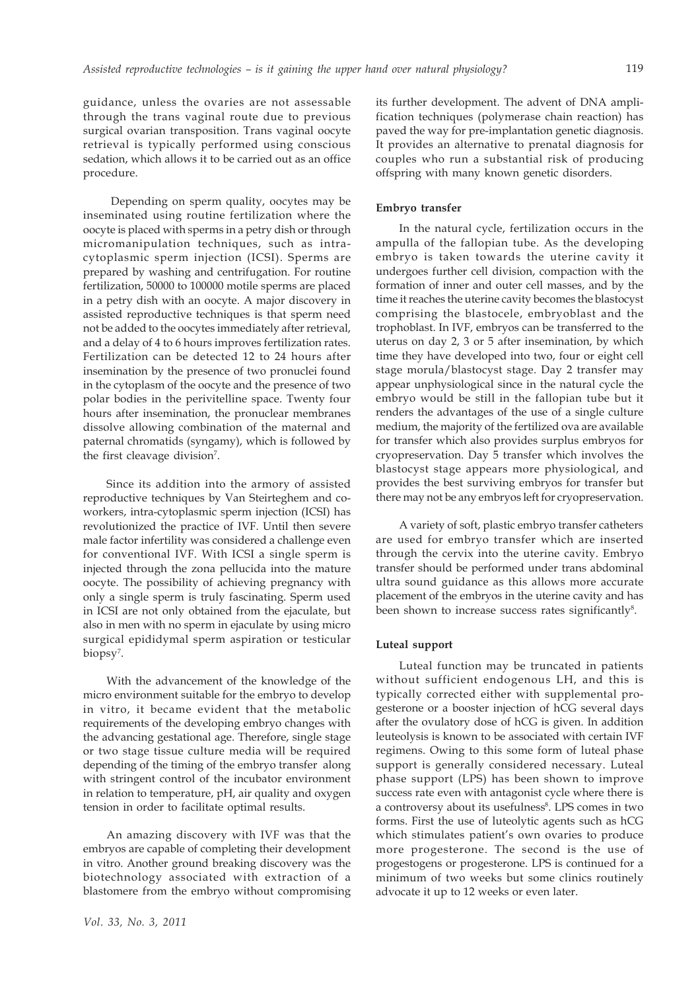guidance, unless the ovaries are not assessable through the trans vaginal route due to previous surgical ovarian transposition. Trans vaginal oocyte retrieval is typically performed using conscious sedation, which allows it to be carried out as an office procedure.

 Depending on sperm quality, oocytes may be inseminated using routine fertilization where the oocyte is placed with sperms in a petry dish or through micromanipulation techniques, such as intracytoplasmic sperm injection (ICSI). Sperms are prepared by washing and centrifugation. For routine fertilization, 50000 to 100000 motile sperms are placed in a petry dish with an oocyte. A major discovery in assisted reproductive techniques is that sperm need not be added to the oocytes immediately after retrieval, and a delay of 4 to 6 hours improves fertilization rates. Fertilization can be detected 12 to 24 hours after insemination by the presence of two pronuclei found in the cytoplasm of the oocyte and the presence of two polar bodies in the perivitelline space. Twenty four hours after insemination, the pronuclear membranes dissolve allowing combination of the maternal and paternal chromatids (syngamy), which is followed by the first cleavage division<sup>7</sup>.

Since its addition into the armory of assisted reproductive techniques by Van Steirteghem and coworkers, intra-cytoplasmic sperm injection (ICSI) has revolutionized the practice of IVF. Until then severe male factor infertility was considered a challenge even for conventional IVF. With ICSI a single sperm is injected through the zona pellucida into the mature oocyte. The possibility of achieving pregnancy with only a single sperm is truly fascinating. Sperm used in ICSI are not only obtained from the ejaculate, but also in men with no sperm in ejaculate by using micro surgical epididymal sperm aspiration or testicular biopsy<sup>7</sup>.

With the advancement of the knowledge of the micro environment suitable for the embryo to develop in vitro, it became evident that the metabolic requirements of the developing embryo changes with the advancing gestational age. Therefore, single stage or two stage tissue culture media will be required depending of the timing of the embryo transfer along with stringent control of the incubator environment in relation to temperature, pH, air quality and oxygen tension in order to facilitate optimal results.

An amazing discovery with IVF was that the embryos are capable of completing their development in vitro. Another ground breaking discovery was the biotechnology associated with extraction of a blastomere from the embryo without compromising its further development. The advent of DNA amplification techniques (polymerase chain reaction) has paved the way for pre-implantation genetic diagnosis. It provides an alternative to prenatal diagnosis for couples who run a substantial risk of producing offspring with many known genetic disorders.

### **Embryo transfer**

In the natural cycle, fertilization occurs in the ampulla of the fallopian tube. As the developing embryo is taken towards the uterine cavity it undergoes further cell division, compaction with the formation of inner and outer cell masses, and by the time it reaches the uterine cavity becomes the blastocyst comprising the blastocele, embryoblast and the trophoblast. In IVF, embryos can be transferred to the uterus on day 2, 3 or 5 after insemination, by which time they have developed into two, four or eight cell stage morula/blastocyst stage. Day 2 transfer may appear unphysiological since in the natural cycle the embryo would be still in the fallopian tube but it renders the advantages of the use of a single culture medium, the majority of the fertilized ova are available for transfer which also provides surplus embryos for cryopreservation. Day 5 transfer which involves the blastocyst stage appears more physiological, and provides the best surviving embryos for transfer but there may not be any embryos left for cryopreservation.

A variety of soft, plastic embryo transfer catheters are used for embryo transfer which are inserted through the cervix into the uterine cavity. Embryo transfer should be performed under trans abdominal ultra sound guidance as this allows more accurate placement of the embryos in the uterine cavity and has been shown to increase success rates significantly<sup>8</sup>.

## **Luteal support**

Luteal function may be truncated in patients without sufficient endogenous LH, and this is typically corrected either with supplemental progesterone or a booster injection of hCG several days after the ovulatory dose of hCG is given. In addition leuteolysis is known to be associated with certain IVF regimens. Owing to this some form of luteal phase support is generally considered necessary. Luteal phase support (LPS) has been shown to improve success rate even with antagonist cycle where there is a controversy about its usefulness<sup>8</sup>. LPS comes in two forms. First the use of luteolytic agents such as hCG which stimulates patient's own ovaries to produce more progesterone. The second is the use of progestogens or progesterone. LPS is continued for a minimum of two weeks but some clinics routinely advocate it up to 12 weeks or even later.